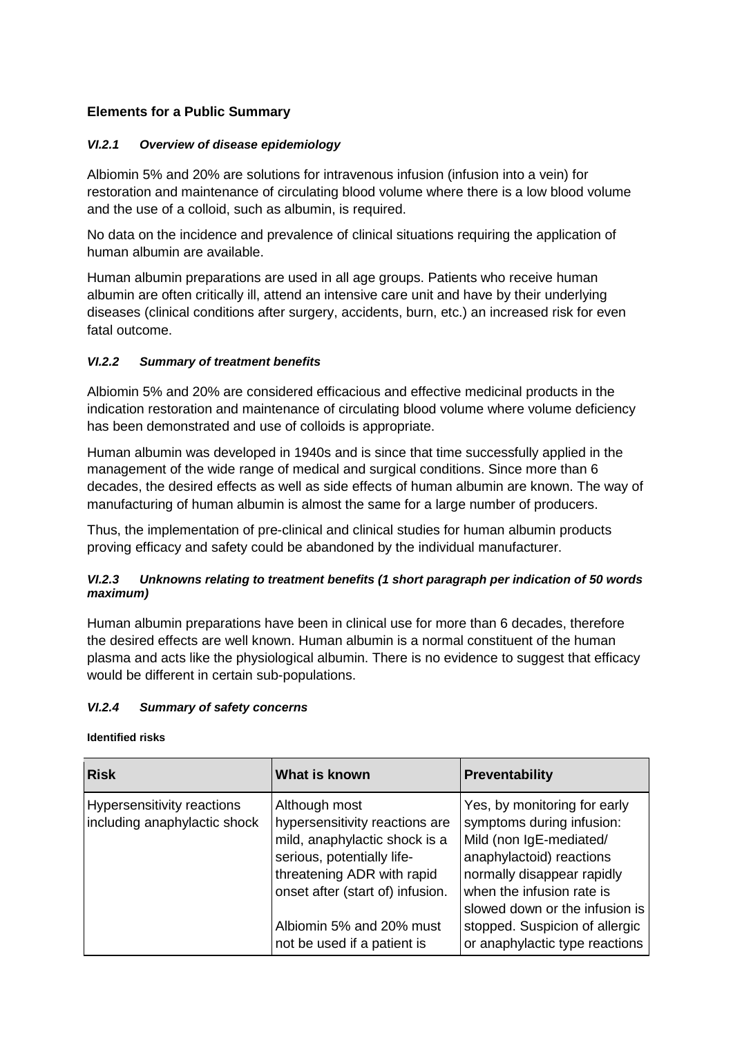# **Elements for a Public Summary**

## *VI.2.1 Overview of disease epidemiology*

Albiomin 5% and 20% are solutions for intravenous infusion (infusion into a vein) for restoration and maintenance of circulating blood volume where there is a low blood volume and the use of a colloid, such as albumin, is required.

No data on the incidence and prevalence of clinical situations requiring the application of human albumin are available.

Human albumin preparations are used in all age groups. Patients who receive human albumin are often critically ill, attend an intensive care unit and have by their underlying diseases (clinical conditions after surgery, accidents, burn, etc.) an increased risk for even fatal outcome.

## *VI.2.2 Summary of treatment benefits*

Albiomin 5% and 20% are considered efficacious and effective medicinal products in the indication restoration and maintenance of circulating blood volume where volume deficiency has been demonstrated and use of colloids is appropriate.

Human albumin was developed in 1940s and is since that time successfully applied in the management of the wide range of medical and surgical conditions. Since more than 6 decades, the desired effects as well as side effects of human albumin are known. The way of manufacturing of human albumin is almost the same for a large number of producers.

Thus, the implementation of pre-clinical and clinical studies for human albumin products proving efficacy and safety could be abandoned by the individual manufacturer.

## *VI.2.3 Unknowns relating to treatment benefits (1 short paragraph per indication of 50 words maximum)*

Human albumin preparations have been in clinical use for more than 6 decades, therefore the desired effects are well known. Human albumin is a normal constituent of the human plasma and acts like the physiological albumin. There is no evidence to suggest that efficacy would be different in certain sub-populations.

## *VI.2.4 Summary of safety concerns*

**Identified risks**

| <b>Risk</b>                                                | What is known                                                                                                                                                                                                                               | <b>Preventability</b>                                                                                                                                                                                                                                                             |
|------------------------------------------------------------|---------------------------------------------------------------------------------------------------------------------------------------------------------------------------------------------------------------------------------------------|-----------------------------------------------------------------------------------------------------------------------------------------------------------------------------------------------------------------------------------------------------------------------------------|
| Hypersensitivity reactions<br>including anaphylactic shock | Although most<br>hypersensitivity reactions are<br>mild, anaphylactic shock is a<br>serious, potentially life-<br>threatening ADR with rapid<br>onset after (start of) infusion.<br>Albiomin 5% and 20% must<br>not be used if a patient is | Yes, by monitoring for early<br>symptoms during infusion:<br>Mild (non IgE-mediated/<br>anaphylactoid) reactions<br>normally disappear rapidly<br>when the infusion rate is<br>slowed down or the infusion is<br>stopped. Suspicion of allergic<br>or anaphylactic type reactions |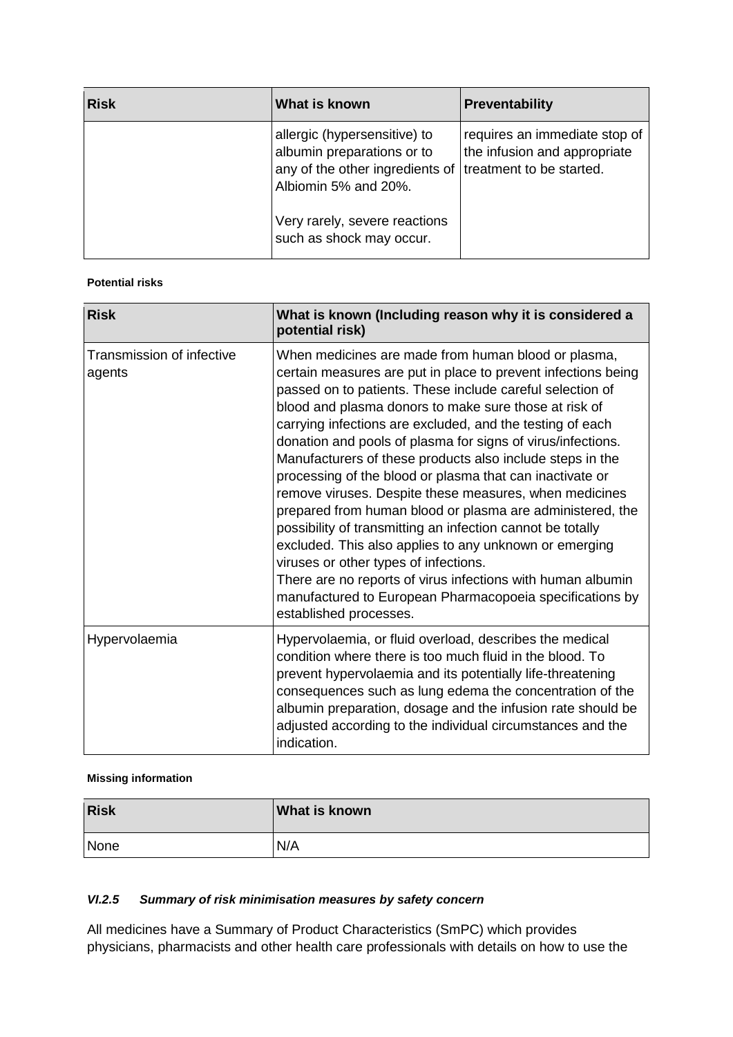| <b>Risk</b> | What is known                                                                                                                                  | Preventability                                                |
|-------------|------------------------------------------------------------------------------------------------------------------------------------------------|---------------------------------------------------------------|
|             | allergic (hypersensitive) to<br>albumin preparations or to<br>any of the other ingredients of treatment to be started.<br>Albiomin 5% and 20%. | requires an immediate stop of<br>the infusion and appropriate |
|             | Very rarely, severe reactions<br>such as shock may occur.                                                                                      |                                                               |

## **Potential risks**

| <b>Risk</b>                         | What is known (Including reason why it is considered a<br>potential risk)                                                                                                                                                                                                                                                                                                                                                                                                                                                                                                                                                                                                                                                                                                                                                                                                                                                                    |
|-------------------------------------|----------------------------------------------------------------------------------------------------------------------------------------------------------------------------------------------------------------------------------------------------------------------------------------------------------------------------------------------------------------------------------------------------------------------------------------------------------------------------------------------------------------------------------------------------------------------------------------------------------------------------------------------------------------------------------------------------------------------------------------------------------------------------------------------------------------------------------------------------------------------------------------------------------------------------------------------|
| Transmission of infective<br>agents | When medicines are made from human blood or plasma,<br>certain measures are put in place to prevent infections being<br>passed on to patients. These include careful selection of<br>blood and plasma donors to make sure those at risk of<br>carrying infections are excluded, and the testing of each<br>donation and pools of plasma for signs of virus/infections.<br>Manufacturers of these products also include steps in the<br>processing of the blood or plasma that can inactivate or<br>remove viruses. Despite these measures, when medicines<br>prepared from human blood or plasma are administered, the<br>possibility of transmitting an infection cannot be totally<br>excluded. This also applies to any unknown or emerging<br>viruses or other types of infections.<br>There are no reports of virus infections with human albumin<br>manufactured to European Pharmacopoeia specifications by<br>established processes. |
| Hypervolaemia                       | Hypervolaemia, or fluid overload, describes the medical<br>condition where there is too much fluid in the blood. To<br>prevent hypervolaemia and its potentially life-threatening<br>consequences such as lung edema the concentration of the<br>albumin preparation, dosage and the infusion rate should be<br>adjusted according to the individual circumstances and the<br>indication.                                                                                                                                                                                                                                                                                                                                                                                                                                                                                                                                                    |

#### **Missing information**

| <b>Risk</b> | <b>What is known</b> |
|-------------|----------------------|
| None        | N/A                  |

## *VI.2.5 Summary of risk minimisation measures by safety concern*

All medicines have a Summary of Product Characteristics (SmPC) which provides physicians, pharmacists and other health care professionals with details on how to use the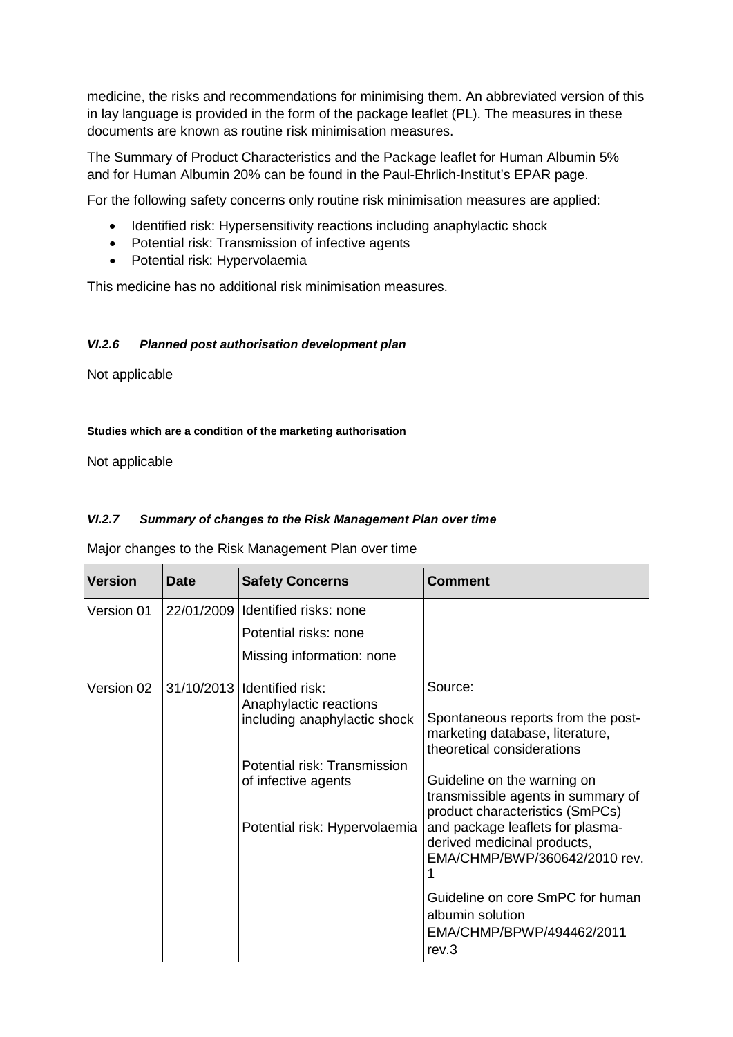medicine, the risks and recommendations for minimising them. An abbreviated version of this in lay language is provided in the form of the package leaflet (PL). The measures in these documents are known as routine risk minimisation measures.

The Summary of Product Characteristics and the Package leaflet for Human Albumin 5% and for Human Albumin 20% can be found in the Paul-Ehrlich-Institut's EPAR page.

For the following safety concerns only routine risk minimisation measures are applied:

- Identified risk: Hypersensitivity reactions including anaphylactic shock
- Potential risk: Transmission of infective agents
- Potential risk: Hypervolaemia

This medicine has no additional risk minimisation measures.

### *VI.2.6 Planned post authorisation development plan*

Not applicable

#### **Studies which are a condition of the marketing authorisation**

Not applicable

## *VI.2.7 Summary of changes to the Risk Management Plan over time*

Major changes to the Risk Management Plan over time

| <b>Version</b> | Date       | <b>Safety Concerns</b>                                 | Comment                                                                                              |
|----------------|------------|--------------------------------------------------------|------------------------------------------------------------------------------------------------------|
| Version 01     | 22/01/2009 | Identified risks: none                                 |                                                                                                      |
|                |            | Potential risks: none                                  |                                                                                                      |
|                |            | Missing information: none                              |                                                                                                      |
| Version 02     | 31/10/2013 | Identified risk:                                       | Source:                                                                                              |
|                |            | Anaphylactic reactions<br>including anaphylactic shock | Spontaneous reports from the post-<br>marketing database, literature,<br>theoretical considerations  |
|                |            | Potential risk: Transmission                           |                                                                                                      |
|                |            | of infective agents                                    | Guideline on the warning on<br>transmissible agents in summary of<br>product characteristics (SmPCs) |
|                |            | Potential risk: Hypervolaemia                          | and package leaflets for plasma-<br>derived medicinal products,<br>EMA/CHMP/BWP/360642/2010 rev.     |
|                |            |                                                        | Guideline on core SmPC for human<br>albumin solution<br>EMA/CHMP/BPWP/494462/2011<br>rev.3           |